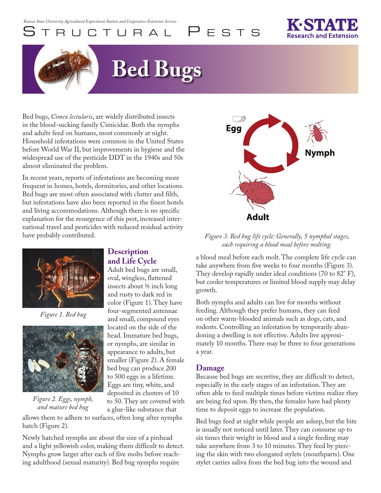# UCTURAL PESTS

# **Bed Bugs**

Bed bugs, *Cimex lectularis*, are widely distributed insects in the blood-sucking family Cimicidae. Both the nymphs and adults feed on humans, most commonly at night. Household infestations were common in the United States before World War II, but improvements in hygiene and the widespread use of the pesticide DDT in the 1940s and 50s almost eliminated the problem.

In recent years, reports of infestations are becoming more frequent in homes, hotels, dormitories, and other locations. Bed bugs are most often associated with clutter and filth, but infestations have also been reported in the finest hotels and living accommodations. Although there is no specific explanation for the resurgence of this pest, increased international travel and pesticides with reduced residual activity have probably contributed.



*Figure 1. Bed bug*



*Figure 2. Eggs, nymph, and mature bed bug*

### **Description and Life Cycle**

Adult bed bugs are small, oval, wingless, flattened insects about 1/5 inch long and rusty to dark red in color (Figure 1). They have four-segmented antennae and small, compound eyes located on the side of the head. Immature bed bugs, or nymphs, are similar in appearance to adults, but smaller (Figure 2). A female bed bug can produce 200 to 500 eggs in a lifetime. Eggs are tiny, white, and deposited in clusters of 10 to 50. They are covered with a glue-like substance that

allows them to adhere to surfaces, often long after nymphs hatch (Figure 2).

Newly hatched nymphs are about the size of a pinhead and a light yellowish color, making them difficult to detect. Nymphs grow larger after each of five molts before reaching adulthood (sexual maturity). Bed bug nymphs require



*Figure 3. Bed bug life cycle: Generally, 5 nymphal stages, each requiring a blood meal before molting.* 

a blood meal before each molt. The complete life cycle can take anywhere from five weeks to four months (Figure 3). They develop rapidly under ideal conditions (70 to 82° F), but cooler temperatures or limited blood supply may delay growth.

Both nymphs and adults can live for months without feeding. Although they prefer humans, they can feed on other warm-blooded animals such as dogs, cats, and rodents. Controlling an infestation by temporarily abandoning a dwelling is not effective. Adults live approximately 10 months. There may be three to four generations a year.

## **Damage**

Because bed bugs are secretive, they are difficult to detect, especially in the early stages of an infestation. They are often able to feed multiple times before victims realize they are being fed upon. By then, the females have had plenty time to deposit eggs to increase the population.

Bed bugs feed at night while people are asleep, but the bite is usually not noticed until later. They can consume up to six times their weight in blood and a single feeding may take anywhere from 3 to 10 minutes. They feed by piercing the skin with two elongated stylets (mouthparts). One stylet carries saliva from the bed bug into the wound and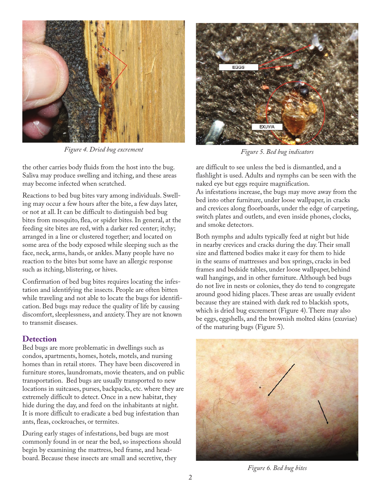

*Figure 4. Dried bug excrement*

the other carries body fluids from the host into the bug. Saliva may produce swelling and itching, and these areas may become infected when scratched.

Reactions to bed bug bites vary among individuals. Swelling may occur a few hours after the bite, a few days later, or not at all. It can be difficult to distinguish bed bug bites from mosquito, flea, or spider bites. In general, at the feeding site bites are red, with a darker red center; itchy; arranged in a line or clustered together; and located on some area of the body exposed while sleeping such as the face, neck, arms, hands, or ankles. Many people have no reaction to the bites but some have an allergic response such as itching, blistering, or hives.

Confirmation of bed bug bites requires locating the infestation and identifying the insects. People are often bitten while traveling and not able to locate the bugs for identification. Bed bugs may reduce the quality of life by causing discomfort, sleeplessness, and anxiety. They are not known to transmit diseases.

#### **Detection**

Bed bugs are more problematic in dwellings such as condos, apartments, homes, hotels, motels, and nursing homes than in retail stores. They have been discovered in furniture stores, laundromats, movie theaters, and on public transportation. Bed bugs are usually transported to new locations in suitcases, purses, backpacks, etc. where they are extremely difficult to detect. Once in a new habitat, they hide during the day, and feed on the inhabitants at night. It is more difficult to eradicate a bed bug infestation than ants, fleas, cockroaches, or termites.

During early stages of infestations, bed bugs are most commonly found in or near the bed, so inspections should begin by examining the mattress, bed frame, and headboard. Because these insects are small and secretive, they



*Figure 5. Bed bug indicators*

are difficult to see unless the bed is dismantled, and a flashlight is used. Adults and nymphs can be seen with the naked eye but eggs require magnification.

As infestations increase, the bugs may move away from the bed into other furniture, under loose wallpaper, in cracks and crevices along floorboards, under the edge of carpeting, switch plates and outlets, and even inside phones, clocks, and smoke detectors.

Both nymphs and adults typically feed at night but hide in nearby crevices and cracks during the day. Their small size and flattened bodies make it easy for them to hide in the seams of mattresses and box springs, cracks in bed frames and bedside tables, under loose wallpaper, behind wall hangings, and in other furniture. Although bed bugs do not live in nests or colonies, they do tend to congregate around good hiding places. These areas are usually evident because they are stained with dark red to blackish spots, which is dried bug excrement (Figure 4). There may also be eggs, eggshells, and the brownish molted skins (exuviae) of the maturing bugs (Figure 5).



*Figure 6. Bed bug bites*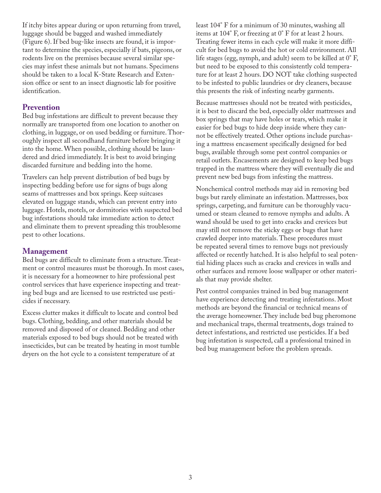If itchy bites appear during or upon returning from travel, luggage should be bagged and washed immediately (Figure 6). If bed bug-like insects are found, it is important to determine the species, especially if bats, pigeons, or rodents live on the premises because several similar species may infest these animals but not humans. Specimens should be taken to a local K-State Research and Extension office or sent to an insect diagnostic lab for positive identification.

#### **Prevention**

Bed bug infestations are difficult to prevent because they normally are transported from one location to another on clothing, in luggage, or on used bedding or furniture. Thoroughly inspect all secondhand furniture before bringing it into the home. When possible, clothing should be laundered and dried immediately. It is best to avoid bringing discarded furniture and bedding into the home.

Travelers can help prevent distribution of bed bugs by inspecting bedding before use for signs of bugs along seams of mattresses and box springs. Keep suitcases elevated on luggage stands, which can prevent entry into luggage. Hotels, motels, or dormitories with suspected bed bug infestations should take immediate action to detect and eliminate them to prevent spreading this troublesome pest to other locations.

### **Management**

Bed bugs are difficult to eliminate from a structure. Treatment or control measures must be thorough. In most cases, it is necessary for a homeowner to hire professional pest control services that have experience inspecting and treating bed bugs and are licensed to use restricted use pesticides if necessary.

Excess clutter makes it difficult to locate and control bed bugs. Clothing, bedding, and other materials should be removed and disposed of or cleaned. Bedding and other materials exposed to bed bugs should not be treated with insecticides, but can be treated by heating in most tumble dryers on the hot cycle to a consistent temperature of at

least 104° F for a minimum of 30 minutes, washing all items at 104° F, or freezing at 0° F for at least 2 hours. Treating fewer items in each cycle will make it more difficult for bed bugs to avoid the hot or cold environment. All life stages (egg, nymph, and adult) seem to be killed at 0° F, but need to be exposed to this consistently cold temperature for at least 2 hours. DO NOT take clothing suspected to be infested to public laundries or dry cleaners, because this presents the risk of infesting nearby garments.

Because mattresses should not be treated with pesticides, it is best to discard the bed, especially older mattresses and box springs that may have holes or tears, which make it easier for bed bugs to hide deep inside where they cannot be effectively treated. Other options include purchasing a mattress encasement specifically designed for bed bugs, available through some pest control companies or retail outlets. Encasements are designed to keep bed bugs trapped in the mattress where they will eventually die and prevent new bed bugs from infesting the mattress.

Nonchemical control methods may aid in removing bed bugs but rarely eliminate an infestation. Mattresses, box springs, carpeting, and furniture can be thoroughly vacuumed or steam cleaned to remove nymphs and adults. A wand should be used to get into cracks and crevices but may still not remove the sticky eggs or bugs that have crawled deeper into materials. These procedures must be repeated several times to remove bugs not previously affected or recently hatched. It is also helpful to seal potential hiding places such as cracks and crevices in walls and other surfaces and remove loose wallpaper or other materials that may provide shelter.

Pest control companies trained in bed bug management have experience detecting and treating infestations. Most methods are beyond the financial or technical means of the average homeowner. They include bed bug pheromone and mechanical traps, thermal treatments, dogs trained to detect infestations, and restricted use pesticides. If a bed bug infestation is suspected, call a professional trained in bed bug management before the problem spreads.